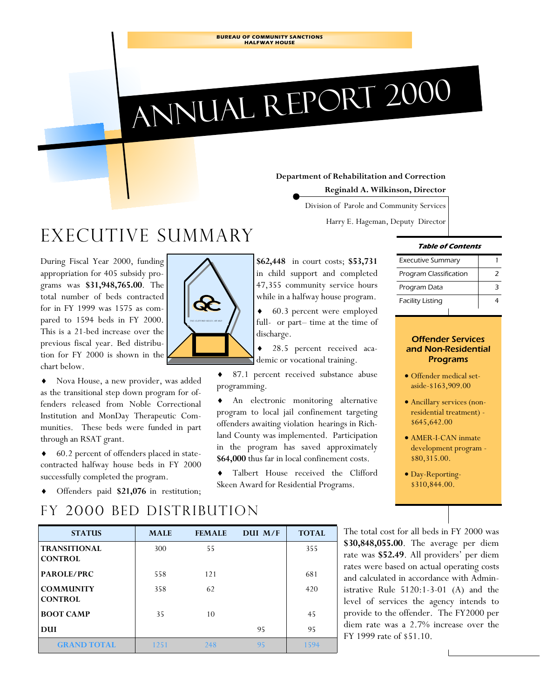**BUREAU OF COMMUNITY SANCTIONS HALFWAY HOUSE** 

# Annual Report 2000

#### **Department of Rehabilitation and Correction**

**Reginald A. Wilkinson, Director** 

Division of Parole and Community Services

Harry E. Hageman, Deputy Director

## Executive summary

During Fiscal Year 2000, funding appropriation for 405 subsidy programs was **\$31,948,765.00**. The total number of beds contracted for in FY 1999 was 1575 as compared to 1594 beds in FY 2000. This is a 21-bed increase over the previous fiscal year. Bed distribution for FY 2000 is shown in the chart below.

♦ Nova House, a new provider, was added as the transitional step down program for offenders released from Noble Correctional Institution and MonDay Therapeutic Communities. These beds were funded in part through an RSAT grant.

♦ 60.2 percent of offenders placed in statecontracted halfway house beds in FY 2000 successfully completed the program.

*THE CLIFFORD SKEEN AWARD* 

**\$62,448** in court costs; **\$53,731**  in child support and completed 47,355 community service hours while in a halfway house program.

♦ 60.3 percent were employed full- or part– time at the time of discharge.

28.5 percent received academic or vocational training.

♦ 87.1 percent received substance abuse programming.

♦ An electronic monitoring alternative program to local jail confinement targeting offenders awaiting violation hearings in Richland County was implemented. Participation in the program has saved approximately **\$64,000** thus far in local confinement costs.

♦ Talbert House received the Clifford Skeen Award for Residential Programs.

#### **Table of Contents**

| <b>Executive Summary</b> |  |
|--------------------------|--|
| Program Classification   |  |
| Program Data             |  |
| <b>Facility Listing</b>  |  |

#### Offender Services and Non-Residential Programs

- Offender medical setaside-\$163,909.00
- Ancillary services (nonresidential treatment) - \$645,642.00
- AMER-I-CAN inmate development program - \$80,315.00.
- Day-Reporting- \$310,844.00.

Offenders paid \$21,076 in restitution;

### FY 2000 bed distribution

| <b>STATUS</b>                         | <b>MALE</b> | <b>FEMALE</b> | DUI M/F | <b>TOTAL</b> |
|---------------------------------------|-------------|---------------|---------|--------------|
| <b>TRANSITIONAL</b><br><b>CONTROL</b> | 300         | 55            |         | 355          |
| <b>PAROLE/PRC</b>                     | 558         | 121           |         | 681          |
| <b>COMMUNITY</b><br><b>CONTROL</b>    | 358         | 62            |         | 420          |
| <b>BOOT CAMP</b>                      | 35          | 10            |         | 45           |
| DUI                                   |             |               | 95      | 95           |
| <b>GRAND TOTAL</b>                    | 1251        | 248           | 95      | 1594         |

The total cost for all beds in FY 2000 was **\$30,848,055.00**. The average per diem rate was **\$52.49**. All providers' per diem rates were based on actual operating costs and calculated in accordance with Administrative Rule 5120:1-3-01 (A) and the level of services the agency intends to provide to the offender. The FY2000 per diem rate was a 2.7% increase over the FY 1999 rate of \$51.10.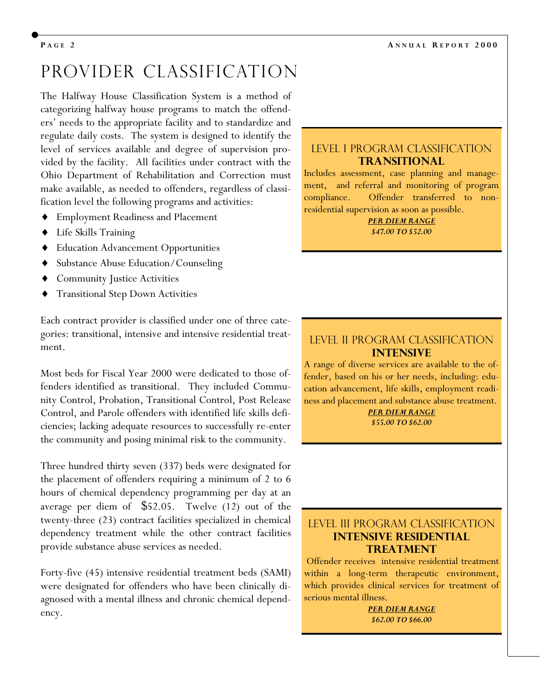## Provider classification

The Halfway House Classification System is a method of categorizing halfway house programs to match the offenders' needs to the appropriate facility and to standardize and regulate daily costs. The system is designed to identify the level of services available and degree of supervision provided by the facility. All facilities under contract with the Ohio Department of Rehabilitation and Correction must make available, as needed to offenders, regardless of classification level the following programs and activities:

- **Employment Readiness and Placement**
- Life Skills Training
- **Education Advancement Opportunities**
- Substance Abuse Education/Counseling
- Community Justice Activities
- **Transitional Step Down Activities**

Each contract provider is classified under one of three categories: transitional, intensive and intensive residential treatment.

Most beds for Fiscal Year 2000 were dedicated to those offenders identified as transitional. They included Community Control, Probation, Transitional Control, Post Release Control, and Parole offenders with identified life skills deficiencies; lacking adequate resources to successfully re-enter the community and posing minimal risk to the community.

Three hundred thirty seven (337) beds were designated for the placement of offenders requiring a minimum of 2 to 6 hours of chemical dependency programming per day at an average per diem of \$52.05. Twelve (12) out of the twenty-three (23) contract facilities specialized in chemical dependency treatment while the other contract facilities provide substance abuse services as needed.

Forty-five (45) intensive residential treatment beds (SAMI) were designated for offenders who have been clinically diagnosed with a mental illness and chronic chemical dependency.

#### Level I PROGRAM CLASSIFICATION **TRANSITIONAL**

Includes assessment, case planning and management, and referral and monitoring of program compliance. Offender transferred to nonresidential supervision as soon as possible.

> *PER DIEM RANGE \$47.00 TO \$52.00*

#### Level II PROGRAM CLASSIFICATION **Intensive**

A range of diverse services are available to the offender, based on his or her needs, including: education advancement, life skills, employment readiness and placement and substance abuse treatment.

> *PER DIEM RANGE \$55.00 TO \$62.00*

#### Level III PROGRAM CLASSIFICATION **Intensive residential Treatment**

 Offender receives intensive residential treatment within a long-term therapeutic environment, which provides clinical services for treatment of serious mental illness.

> *PER DIEM RANGE \$62.00 TO \$66.00*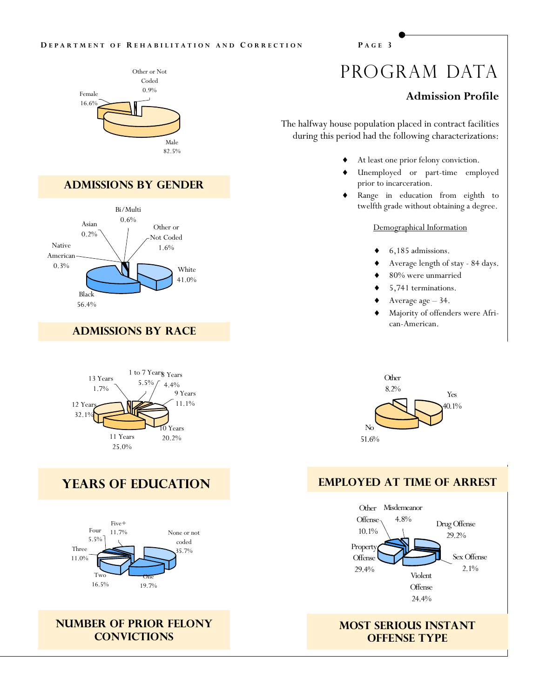#### **D EPARTMENT O F R EHABILITATION AND C ORRECTION P AGE 3**



#### **Admissions by gender**



#### **Admissions by race**



#### **years of education**



#### **Number of prior felony convictions**

## PROGRAM DATA

#### **Admission Profile**

The halfway house population placed in contract facilities during this period had the following characterizations:

- At least one prior felony conviction.
- Unemployed or part-time employed prior to incarceration.
- Range in education from eighth to twelfth grade without obtaining a degree.

#### Demographical Information

- 6,185 admissions.
- Average length of stay 84 days.
- $80\%$  were unmarried
- 5,741 terminations.
- Average age 34.
- Majority of offenders were African-American.



#### **Employed at time of arrest**



#### **most serious instant OFFENSE TYPE**